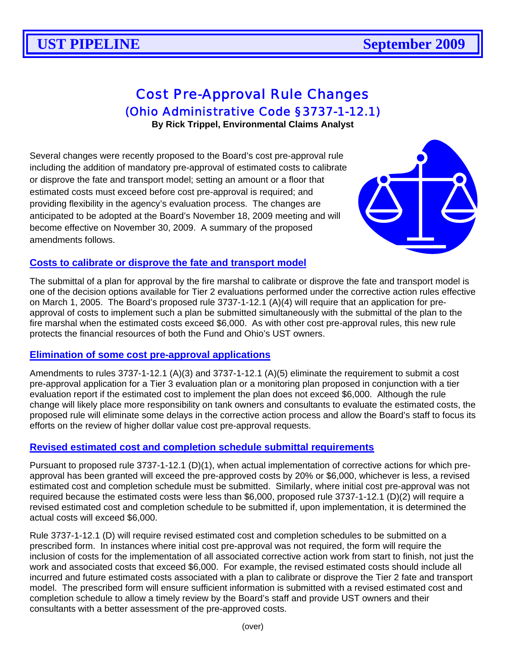# Cost Pre-Approval Rule Changes

(Ohio Administrative Code §3737-1-12.1)

**By Rick Trippel, Environmental Claims Analyst** 

Several changes were recently proposed to the Board's cost pre-approval rule including the addition of mandatory pre-approval of estimated costs to calibrate or disprove the fate and transport model; setting an amount or a floor that estimated costs must exceed before cost pre-approval is required; and providing flexibility in the agency's evaluation process. The changes are anticipated to be adopted at the Board's November 18, 2009 meeting and will become effective on November 30, 2009. A summary of the proposed amendments follows.



#### **Costs to calibrate or disprove the fate and transport model**

The submittal of a plan for approval by the fire marshal to calibrate or disprove the fate and transport model is one of the decision options available for Tier 2 evaluations performed under the corrective action rules effective on March 1, 2005. The Board's proposed rule 3737-1-12.1 (A)(4) will require that an application for preapproval of costs to implement such a plan be submitted simultaneously with the submittal of the plan to the fire marshal when the estimated costs exceed \$6,000. As with other cost pre-approval rules, this new rule protects the financial resources of both the Fund and Ohio's UST owners.

### **Elimination of some cost pre-approval applications**

Amendments to rules 3737-1-12.1 (A)(3) and 3737-1-12.1 (A)(5) eliminate the requirement to submit a cost pre-approval application for a Tier 3 evaluation plan or a monitoring plan proposed in conjunction with a tier evaluation report if the estimated cost to implement the plan does not exceed \$6,000. Although the rule change will likely place more responsibility on tank owners and consultants to evaluate the estimated costs, the proposed rule will eliminate some delays in the corrective action process and allow the Board's staff to focus its efforts on the review of higher dollar value cost pre-approval requests.

### **Revised estimated cost and completion schedule submittal requirements**

Pursuant to proposed rule 3737-1-12.1 (D)(1), when actual implementation of corrective actions for which preapproval has been granted will exceed the pre-approved costs by 20% or \$6,000, whichever is less, a revised estimated cost and completion schedule must be submitted. Similarly, where initial cost pre-approval was not required because the estimated costs were less than \$6,000, proposed rule 3737-1-12.1 (D)(2) will require a revised estimated cost and completion schedule to be submitted if, upon implementation, it is determined the actual costs will exceed \$6,000.

Rule 3737-1-12.1 (D) will require revised estimated cost and completion schedules to be submitted on a prescribed form. In instances where initial cost pre-approval was not required, the form will require the inclusion of costs for the implementation of all associated corrective action work from start to finish, not just the work and associated costs that exceed \$6,000. For example, the revised estimated costs should include all incurred and future estimated costs associated with a plan to calibrate or disprove the Tier 2 fate and transport model. The prescribed form will ensure sufficient information is submitted with a revised estimated cost and completion schedule to allow a timely review by the Board's staff and provide UST owners and their consultants with a better assessment of the pre-approved costs.